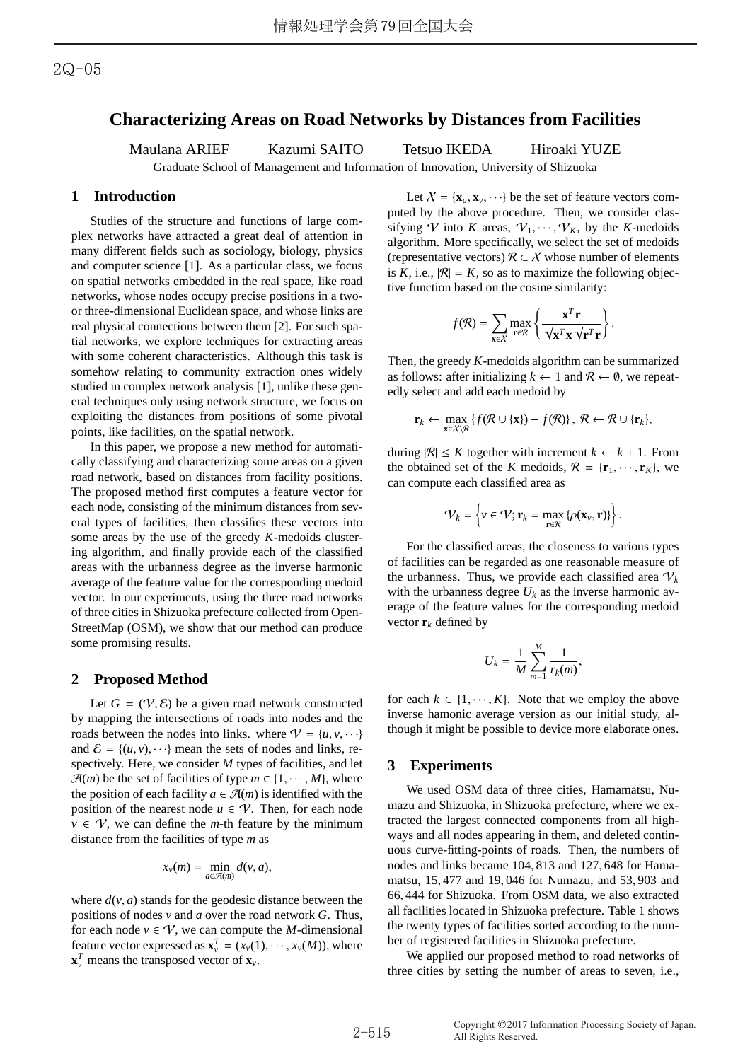# **Characterizing Areas on Road Networks by Distances from Facilities**

Maulana ARIEF Kazumi SAITO Tetsuo IKEDA Hiroaki YUZE

Graduate School of Management and Information of Innovation, University of Shizuoka

# **1 Introduction**

Studies of the structure and functions of large complex networks have attracted a great deal of attention in many different fields such as sociology, biology, physics and computer science [1]. As a particular class, we focus on spatial networks embedded in the real space, like road networks, whose nodes occupy precise positions in a twoor three-dimensional Euclidean space, and whose links are real physical connections between them [2]. For such spatial networks, we explore techniques for extracting areas with some coherent characteristics. Although this task is somehow relating to community extraction ones widely studied in complex network analysis [1], unlike these general techniques only using network structure, we focus on exploiting the distances from positions of some pivotal points, like facilities, on the spatial network.

In this paper, we propose a new method for automatically classifying and characterizing some areas on a given road network, based on distances from facility positions. The proposed method first computes a feature vector for each node, consisting of the minimum distances from several types of facilities, then classifies these vectors into some areas by the use of the greedy *K*-medoids clustering algorithm, and finally provide each of the classified areas with the urbanness degree as the inverse harmonic average of the feature value for the corresponding medoid vector. In our experiments, using the three road networks of three cities in Shizuoka prefecture collected from Open-StreetMap (OSM), we show that our method can produce some promising results.

#### **2 Proposed Method**

Let  $G = (\mathcal{V}, \mathcal{E})$  be a given road network constructed by mapping the intersections of roads into nodes and the roads between the nodes into links. where  $V = \{u, v, \dots\}$ and  $\mathcal{E} = \{(u, v), \dots\}$  mean the sets of nodes and links, respectively. Here, we consider *M* types of facilities, and let  $\mathcal{A}(m)$  be the set of facilities of type  $m \in \{1, \dots, M\}$ , where the position of each facility  $a \in \mathcal{A}(m)$  is identified with the position of the nearest node  $u \in \mathcal{V}$ . Then, for each node  $v \in V$ , we can define the *m*-th feature by the minimum distance from the facilities of type *m* as

$$
x_v(m) = \min_{a \in \mathcal{A}(m)} d(v, a),
$$

where  $d(v, a)$  stands for the geodesic distance between the positions of nodes *v* and *a* over the road network *G*. Thus, for each node  $v \in V$ , we can compute the *M*-dimensional feature vector expressed as  $\mathbf{x}_{\nu}^{T} = (x_{\nu}(1), \dots, x_{\nu}(M))$ , where  $\mathbf{x}_v^T$  means the transposed vector of  $\mathbf{x}_v$ .

Let  $X = {\mathbf{x}_u, \mathbf{x}_v, \cdots}$  be the set of feature vectors computed by the above procedure. Then, we consider classifying  $V$  into *K* areas,  $V_1, \dots, V_K$ , by the *K*-medoids algorithm. More specifically, we select the set of medoids (representative vectors)  $\mathcal{R} \subset \mathcal{X}$  whose number of elements is *K*, i.e.,  $|\mathcal{R}| = K$ , so as to maximize the following objective function based on the cosine similarity:

$$
f(\mathcal{R}) = \sum_{\mathbf{x} \in \mathcal{X}} \max_{\mathbf{r} \in \mathcal{R}} \left\{ \frac{\mathbf{x}^T \mathbf{r}}{\sqrt{\mathbf{x}^T \mathbf{x}} \sqrt{\mathbf{r}^T \mathbf{r}}} \right\}.
$$

Then, the greedy *K*-medoids algorithm can be summarized as follows: after initializing  $k \leftarrow 1$  and  $\mathcal{R} \leftarrow \emptyset$ , we repeatedly select and add each medoid by

$$
\mathbf{r}_k \leftarrow \max_{\mathbf{x} \in \mathcal{X} \setminus \mathcal{R}} \left\{ f(\mathcal{R} \cup \{\mathbf{x}\}) - f(\mathcal{R}) \right\}, \ \mathcal{R} \leftarrow \mathcal{R} \cup \{\mathbf{r}_k\},\
$$

during  $|R| \leq K$  together with increment  $k \leftarrow k + 1$ . From the obtained set of the *K* medoids,  $\mathcal{R} = {\mathbf{r}_1, \dots, \mathbf{r}_k}$ , we can compute each classified area as

$$
\mathcal{V}_k = \left\{ v \in \mathcal{V}; \mathbf{r}_k = \max_{\mathbf{r} \in \mathcal{R}} \left\{ \rho(\mathbf{x}_v, \mathbf{r}) \right\} \right\}.
$$

For the classified areas, the closeness to various types of facilities can be regarded as one reasonable measure of the urbanness. Thus, we provide each classified area  $V_k$ with the urbanness degree  $U_k$  as the inverse harmonic average of the feature values for the corresponding medoid vector  $\mathbf{r}_k$  defined by

$$
U_k = \frac{1}{M} \sum_{m=1}^M \frac{1}{r_k(m)},
$$

for each  $k \in \{1, \dots, K\}$ . Note that we employ the above inverse hamonic average version as our initial study, although it might be possible to device more elaborate ones.

## **3 Experiments**

We used OSM data of three cities, Hamamatsu, Numazu and Shizuoka, in Shizuoka prefecture, where we extracted the largest connected components from all highways and all nodes appearing in them, and deleted continuous curve-fitting-points of roads. Then, the numbers of nodes and links became 104, 813 and 127, 648 for Hamamatsu, 15, 477 and 19, 046 for Numazu, and 53, 903 and 66, 444 for Shizuoka. From OSM data, we also extracted all facilities located in Shizuoka prefecture. Table 1 shows the twenty types of facilities sorted according to the number of registered facilities in Shizuoka prefecture.

We applied our proposed method to road networks of three cities by setting the number of areas to seven, i.e.,